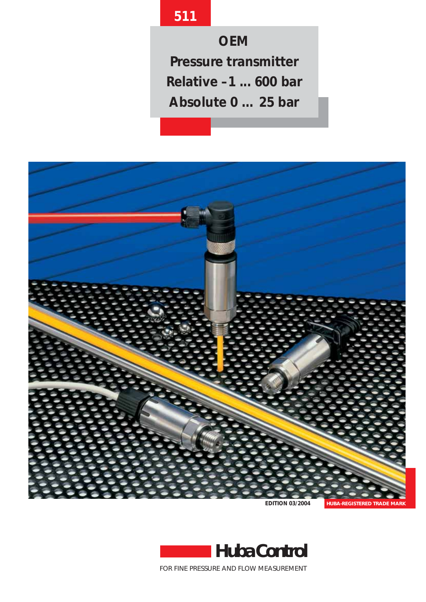# **511**

**OEM Pressure transmitter Relative –1 ... 600 bar Absolute 0 … 25 bar**



**EDITION 03/2004**



FOR FINE PRESSURE AND FLOW MEASUREMENT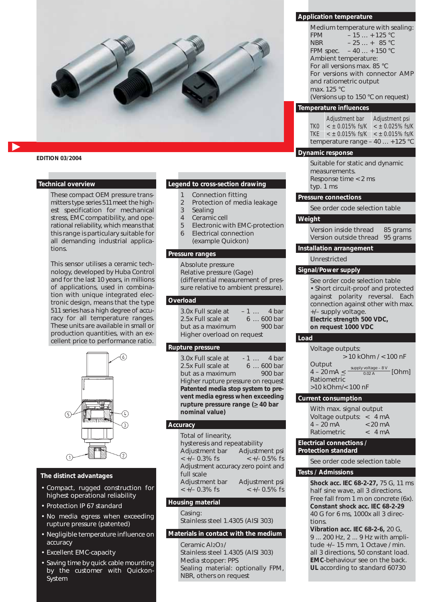

**EDITION 03/2004**

#### **Technical overview**

These compact OEM pressure transmitters type series 511meet the highest specification for mechanical stress, EMC compatibility, and operational reliability, which means that this range is particulary suitable for all demanding industrial applications.

This sensor utilises a ceramic technology, developed by Huba Control and for the last 10 years, in millions of applications, used in combination with unique integrated electronic design, means that the type 511 series has a high degree of accuracy for all temperature ranges. These units are available in small or production quantities, with an excellent price to performance ratio.



#### **The distinct advantages**

- Compact, rugged construction for highest operational reliability
- Protection IP 67 standard
- No media egress when exceeding rupture pressure (patented)
- Negligible temperature influence on accuracy
- Excellent EMC-capacity
- Saving time by quick cable mounting by the customer with Quickon-System

#### **Legend to cross-section drawing**

- 1 Connection fitting
- 2 Protection of media leakage
- 3 Sealing
- 4 Ceramic cell
- 5 Electronic with EMC-protection
- 6 Electrical connection (example Quickon)

# **Pressure ranges**

Absolute pressure Relative pressure (Gage) (differential measurement of pressure relative to ambient pressure).

## **Overload**

| 3.0x Full scale at         |  | $-1$ 4 bar |  |
|----------------------------|--|------------|--|
| 2.5x Full scale at         |  | $6600$ bar |  |
| but as a maximum           |  | $900$ bar  |  |
| Higher overload on request |  |            |  |

## **Rupture pressure**

3.0x Full scale at - 1 ... 4 bar<br>2.5x Full scale at 6 ... 600 bar 2.5x Full scale at but as a maximum 900 bar Higher rupture pressure on request **Patented media stop system to prevent media egress when exceeding rupture pressure range (** $\geq$  **40 bar nominal value)**

## **Accuracy**

| Total of linearity,                |                  |
|------------------------------------|------------------|
| hysteresis and repeatability       |                  |
| Adjustment bar                     | Adjustment psi   |
| $\lt +/- 0.3\%$ fs                 | $< +/- 0.5\%$ fs |
| Adjustment accuracy zero point and |                  |
| full scale                         |                  |
| Adjustment bar                     | Adjustment psi   |
| $< +/- 0.3\%$ fs                   | $< +/- 0.5\%$ fs |
|                                    |                  |

## **Housing material**

Casing: Stainless steel 1.4305 (AISI 303)

## **Materials in contact with the medium**

Ceramic Al<sub>2</sub>O<sub>3</sub>/ Stainless steel 1.4305 (AISI 303) Media stopper: PPS Sealing material: optionally FPM, NBR, others on request

## **Application temperature**

| Medium temperature with sealing:   |  |  |  |  |
|------------------------------------|--|--|--|--|
| $-15 + 125$ °C<br><b>FPM</b>       |  |  |  |  |
| $-25 + 85 °C$<br><b>NBR</b>        |  |  |  |  |
| FPM spec. $-40 + 150$ °C           |  |  |  |  |
| Ambient temperature:               |  |  |  |  |
| For all versions max. 85 °C        |  |  |  |  |
| For versions with connector AMP    |  |  |  |  |
| and ratiometric output             |  |  |  |  |
| max. 125 °C                        |  |  |  |  |
| (Versions up to 150 °C on request) |  |  |  |  |

#### **Temperature influences**

|                 | Adjustment bar                 | Adjustment psi        |
|-----------------|--------------------------------|-----------------------|
| TK <sub>0</sub> | $<$ ± 0.015% fs/K              | $<$ $\pm$ 0.025% fs/K |
| TKF.            | $<$ ± 0.015% fs/K              | $<$ ± 0.015% fs/K     |
|                 | temperature range $-40+125$ °C |                       |

## **Dynamic response**

Suitable for static and dynamic measurements. Response time < 2 ms typ. 1 ms

## **Pressure connections**

See order code selection table

## **Weight**

Version inside thread 85 grams Version outside thread 95 grams

## **Installation arrangement**

Unrestricted

## **Signal/Power supply**

See order code selection table • Short circuit-proof and protected against polarity reversal. Each connection against other with max. +/– supply voltage. **Electric strength 500 VDC, on request 1000 VDC**

#### **Load**

| Voltage outputs:                                                    |
|---------------------------------------------------------------------|
| $> 10$ kOhm $/ < 100$ nF                                            |
| Output<br>supply voltage - $8V$ [Ohm]<br>$4 - 20 \text{ mA} \leq 1$ |
| Ratiometric                                                         |
| >10 kOhm/< 100 nF                                                   |

#### **Current consumption**

| With max. signal output                 |                   |
|-----------------------------------------|-------------------|
| Voltage outputs: $\langle 4 \rangle$ mA |                   |
| $4 - 20$ mA                             | $< 20 \text{ mA}$ |
| Ratiometric                             | < 4mA             |

#### **Electrical connections / Protection standard**

See order code selection table

## **Tests / Admissions**

**Shock acc. IEC 68-2-27,** 75 G, 11 ms half sine wave, all 3 directions. Free fall from 1 m on concrete (6x). **Constant shock acc. IEC 68-2-29** 40 G for 6 ms, 1000x all 3 directions.

**Vibration acc. IEC 68-2-6,** 20 G, 9 ... 200 Hz, 2 ... 9 Hz with amplitude +/– 15 mm, 1 Octave / min. all 3 directions, 50 constant load. **EMC**-behaviour see on the back. **UL** according to standard 60730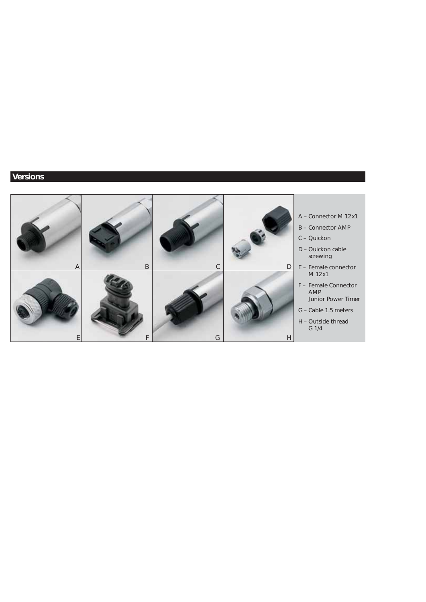## **Versions**

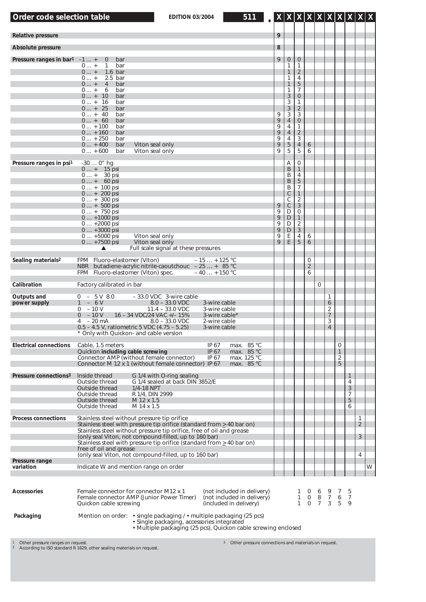| Order code selection table                 | 511<br><b>EDITION 03/2004</b>                                                                                                                                                                                                                                                                                                                                                                                                |                                      |                                                                                                                                                                       |                                                                                                                                                                        |                                                                  |                   |                                                      |                             |                                         |                               |   |
|--------------------------------------------|------------------------------------------------------------------------------------------------------------------------------------------------------------------------------------------------------------------------------------------------------------------------------------------------------------------------------------------------------------------------------------------------------------------------------|--------------------------------------|-----------------------------------------------------------------------------------------------------------------------------------------------------------------------|------------------------------------------------------------------------------------------------------------------------------------------------------------------------|------------------------------------------------------------------|-------------------|------------------------------------------------------|-----------------------------|-----------------------------------------|-------------------------------|---|
| Relative pressure                          |                                                                                                                                                                                                                                                                                                                                                                                                                              | 9                                    |                                                                                                                                                                       |                                                                                                                                                                        |                                                                  |                   |                                                      |                             |                                         |                               |   |
| Absolute pressure                          |                                                                                                                                                                                                                                                                                                                                                                                                                              | 8                                    |                                                                                                                                                                       |                                                                                                                                                                        |                                                                  |                   |                                                      |                             |                                         |                               |   |
| Pressure ranges in bar <sup>1</sup> $-1$ + | bar<br>$\overline{0}$<br>$0$ +<br>1<br>bar<br>$0$ +<br>$1.6$ bar<br>$0$ +<br>$2.5$ bar<br>$0$ +<br>$\overline{4}$<br>bar<br>$0 +$<br>6<br>bar<br>$0 + 10$<br>bar<br>$0 + 16$<br>bar<br>$0 + 25$<br>bar<br>$0 + 40$<br>bar<br>$0 + 60$<br>bar<br>$0 + 100$<br>bar<br>$0 + 160$<br>bar<br>$0 + 250$<br>bar<br>$0 + 400$<br>bar<br>Viton seal only<br>$0 + 600$<br>bar<br>Viton seal only                                       | 9<br>9<br>9<br>9<br>9<br>9<br>9<br>9 | $\mathbf 0$<br>1<br>$\mathbf{1}$<br>1<br>$\mathbf{1}$<br>1<br>3<br>3<br>$\sqrt{3}$<br>$\sqrt{3}$<br>$\overline{4}$<br>4<br>$\overline{4}$<br>4<br>5<br>$\overline{5}$ | $\theta$<br>1<br>$\overline{2}$<br>4<br>$\sqrt{5}$<br>7<br>$\theta$<br>1<br>$\overline{2}$<br>3<br>$\boldsymbol{0}$<br>1<br>$\overline{2}$<br>3<br>$\overline{4}$<br>5 | 6<br>6                                                           |                   |                                                      |                             |                                         |                               |   |
| Pressure ranges in psi1                    | -30  0" hg<br>$0 + 15$ psi<br>$0 + 30$ psi<br>$0 + 60$ psi<br>$0 + 100$ psi<br>$0 + 200$ psi<br>$0 + 300$ psi<br>$0 + 500$ psi<br>$0 + 750$ psi<br>$0 + 1000$ psi<br>$0+2000$ psi<br>$0+3000$ psi<br>Viton seal only<br>$0 + 5000$ psi<br>$0 + 7500$ psi<br>Viton seal only<br>$\blacktriangle$<br>Full scale signal at these pressures                                                                                      | 9<br>9<br>9<br>9<br>9<br>9<br>9      | Α<br>B<br>B<br>B<br>B<br>$\mathsf C$<br>C<br>$\mathsf C$<br>D<br>$\mathsf{D}$<br>D<br>$\mathsf D$<br>E<br>E                                                           | 0<br>$\mathbf{1}$<br>4<br>$\sqrt{5}$<br>7<br>$\mathbf{1}$<br>$\overline{2}$<br>$\sqrt{3}$<br>0<br>$\mathbf{1}$<br>$\overline{2}$<br>$\sqrt{3}$<br>4<br>5               | 6<br>6                                                           |                   |                                                      |                             |                                         |                               |   |
| Sealing materials <sup>2</sup>             | FPM Fluoro-elastomer (Viton)<br>$-15 + 125$ °C<br>butadiene-acrylic nitrile-caoutchouc $-25+85$ °C<br>NBR .<br>FPM Fluoro-elastomer (Viton) spec.<br>$-40 + 150$ °C                                                                                                                                                                                                                                                          |                                      |                                                                                                                                                                       |                                                                                                                                                                        | $\mathbf 0$<br>$\overline{2}$<br>6                               |                   |                                                      |                             |                                         |                               |   |
| Calibration                                | Factory calibrated in bar                                                                                                                                                                                                                                                                                                                                                                                                    |                                      |                                                                                                                                                                       |                                                                                                                                                                        |                                                                  | 0                 |                                                      |                             |                                         |                               |   |
| Outputs and<br>power supply                | $0 - 5V8.0$<br>- 33.0 VDC 3-wire cable<br>$-6V$<br>$8.0 - 33.0$ VDC<br>3-wire cable<br>$-10V$<br>$11.4 - 33.0$ VDC<br>3-wire cable<br>0<br>$-10V$<br>$\overline{0}$<br>16 - 34 VDC/24 VAC +/- 15%<br>3-wire cable*<br>– 20 mA<br>$8.0 - 33.0$ VDC<br>2-wire cable<br>4<br>$0.5 - 4.5$ V, ratiometric 5 VDC (4.75 - 5.25)<br>3-wire cable<br>* Only with Quickon- and cable version                                           |                                      |                                                                                                                                                                       |                                                                                                                                                                        |                                                                  |                   | 1<br>6<br>2<br>$\overline{7}$<br>3<br>$\overline{4}$ |                             |                                         |                               |   |
| <b>Electrical connections</b>              | Cable, 1.5 meters<br>IP 67<br>max. 85 °C<br>Quickon including cable screwing<br>IP 67<br>max. 85 °C<br>Connector AMP (without female connector)<br>IP 67<br>max. 125 °C<br>Connector M 12 x 1 (without female connector) IP 67<br>max. 85 °C                                                                                                                                                                                 |                                      |                                                                                                                                                                       |                                                                                                                                                                        |                                                                  |                   |                                                      | 0<br>$\mathbf{1}$<br>2<br>5 |                                         |                               |   |
| Pressure connections <sup>3</sup>          | G 1/4 with O-ring sealing<br>Inside thread<br>Outside thread<br>G 1/4 sealed at back DIN 3852/E<br>1/4-18 NPT<br>Outside thread<br>Outside thread<br>R 1/4, DIN 2999<br>Outside thread<br>M 12 x 1.5<br>Outside thread<br>M 14 x 1.5                                                                                                                                                                                         |                                      |                                                                                                                                                                       |                                                                                                                                                                        |                                                                  |                   |                                                      |                             | 1<br>4<br>$\overline{3}$<br>7<br>5<br>6 |                               |   |
| <b>Process connections</b>                 | Stainless steel without pressure tip orifice<br>Stainless steel with pressure tip orifice (standard from $\geq$ 40 bar on)<br>Stainless steel without pressure tip orifice, free of oil and grease<br>(only seal Viton, not compound-filled, up to 160 bar)<br>Stainless steel with pressure tip orifice (standard from $\geq$ 40 bar on)<br>free of oil and grease<br>(only seal Viton, not compound-filled, up to 160 bar) |                                      |                                                                                                                                                                       |                                                                                                                                                                        |                                                                  |                   |                                                      |                             |                                         | 1<br>$\overline{2}$<br>3<br>4 |   |
| Pressure range<br>variation                | Indicate W and mention range on order                                                                                                                                                                                                                                                                                                                                                                                        |                                      |                                                                                                                                                                       |                                                                                                                                                                        |                                                                  |                   |                                                      |                             |                                         |                               | W |
|                                            |                                                                                                                                                                                                                                                                                                                                                                                                                              |                                      |                                                                                                                                                                       |                                                                                                                                                                        |                                                                  |                   |                                                      |                             |                                         |                               |   |
| <b>Accessories</b>                         | Female connector for connector M12 x 1<br>(not included in delivery)<br>Female connector AMP (Junior Power Timer)<br>(not included in delivery)<br>(included in delivery)<br>Quickon cable screwing                                                                                                                                                                                                                          |                                      |                                                                                                                                                                       | 1<br>$\mathbf{1}$<br>$\mathbf{1}$                                                                                                                                      | $\begin{array}{cccc} 0 & 8 & 7 & 6 \\ 0 & 7 & 3 & 5 \end{array}$ | $0\quad 6\quad 9$ |                                                      | 7                           | 5<br>$\overline{7}$<br>$\mathbf Q$      |                               |   |
| Packaging                                  | Mention on order: • single packaging / • multiple packaging (25 pcs)<br>· Single packaging, accessories integrated<br>• Multiple packaging (25 pcs), Quickon cable screwing enclosed                                                                                                                                                                                                                                         |                                      |                                                                                                                                                                       |                                                                                                                                                                        |                                                                  |                   |                                                      |                             |                                         |                               |   |

1 Other pressure ranges on request.<br>2 According to ISO standard R 1629, other sealing materials on request.

Ч.

 $\sim 10^{-1}$